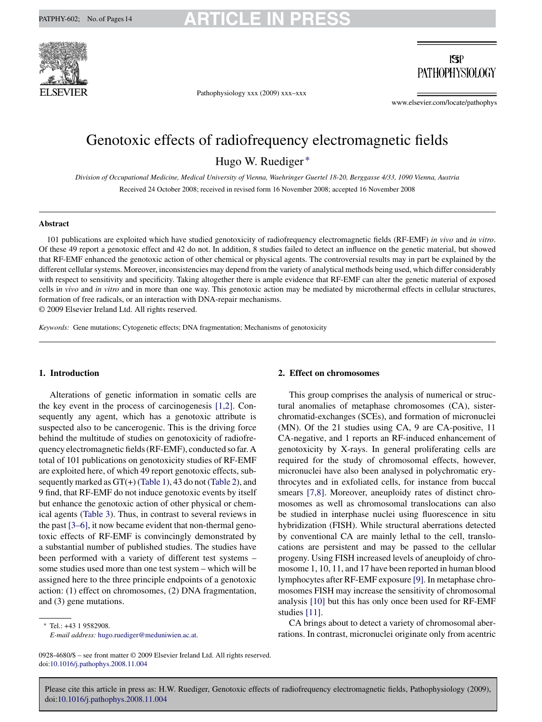

## $|S|$ **PATHOPHYSIOLOGY**

Pathophysiology xxx (2009) xxx–xxx

www.elsevier.com/locate/pathophys

# Genotoxic effects of radiofrequency electromagnetic fields Hugo W. Ruediger ∗

*Division of Occupational Medicine, Medical University of Vienna, Waehringer Guertel 18-20, Berggasse 4/33, 1090 Vienna, Austria* Received 24 October 2008; received in revised form 16 November 2008; accepted 16 November 2008

#### **Abstract**

101 publications are exploited which have studied genotoxicity of radiofrequency electromagnetic fields (RF-EMF) *in vivo* and *in vitro*. Of these 49 report a genotoxic effect and 42 do not. In addition, 8 studies failed to detect an influence on the genetic material, but showed that RF-EMF enhanced the genotoxic action of other chemical or physical agents. The controversial results may in part be explained by the different cellular systems. Moreover, inconsistencies may depend from the variety of analytical methods being used, which differ considerably with respect to sensitivity and specificity. Taking altogether there is ample evidence that RF-EMF can alter the genetic material of exposed cells i*n vivo* and *in vitro* and in more than one way. This genotoxic action may be mediated by microthermal effects in cellular structures, formation of free radicals, or an interaction with DNA-repair mechanisms.

© 2009 Elsevier Ireland Ltd. All rights reserved.

*Keywords:* Gene mutations; Cytogenetic effects; DNA fragmentation; Mechanisms of genotoxicity

### **1. Introduction**

Alterations of genetic information in somatic cells are the key event in the process of carcinogenesis [\[1,2\].](#page-9-0) Consequently any agent, which has a genotoxic attribute is suspected also to be cancerogenic. This is the driving force behind the multitude of studies on genotoxicity of radiofrequency electromagnetic fields (RF-EMF), conducted so far. A total of 101 publications on genotoxicity studies of RF-EMF are exploited here, of which 49 report genotoxic effects, subsequently marked as GT(+) [\(Table 1\),](#page-1-0) 43 do not [\(Table 2\),](#page-4-0) and 9 find, that RF-EMF do not induce genotoxic events by itself but enhance the genotoxic action of other physical or chemical agents [\(Table 3\).](#page-6-0) Thus, in contrast to several reviews in the past [\[3–6\], i](#page-9-0)t now became evident that non-thermal genotoxic effects of RF-EMF is convincingly demonstrated by a substantial number of published studies. The studies have been performed with a variety of different test systems – some studies used more than one test system – which will be assigned here to the three principle endpoints of a genotoxic action: (1) effect on chromosomes, (2) DNA fragmentation, and (3) gene mutations.

### ∗ Tel.: +43 1 9582908.

*E-mail address:* [hugo.ruediger@meduniwien.ac.at.](mailto:hugo.ruediger@meduniwien.ac.at)

#### **2. Effect on chromosomes**

This group comprises the analysis of numerical or structural anomalies of metaphase chromosomes (CA), sisterchromatid-exchanges (SCEs), and formation of micronuclei (MN). Of the 21 studies using CA, 9 are CA-positive, 11 CA-negative, and 1 reports an RF-induced enhancement of genotoxicity by X-rays. In general proliferating cells are required for the study of chromosomal effects, however, micronuclei have also been analysed in polychromatic erythrocytes and in exfoliated cells, for instance from buccal smears [\[7,8\].](#page-9-0) Moreover, aneuploidy rates of distinct chromosomes as well as chromosomal translocations can also be studied in interphase nuclei using fluorescence in situ hybridization (FISH). While structural aberrations detected by conventional CA are mainly lethal to the cell, translocations are persistent and may be passed to the cellular progeny. Using FISH increased levels of aneuploidy of chromosome 1, 10, 11, and 17 have been reported in human blood lymphocytes after RF-EMF exposure [\[9\]. I](#page-9-0)n metaphase chromosomes FISH may increase the sensitivity of chromosomal analysis [\[10\]](#page-9-0) but this has only once been used for RF-EMF studies [\[11\].](#page-9-0)

CA brings about to detect a variety of chromosomal aberrations. In contrast, micronuclei originate only from acentric

<sup>0928-4680/\$ –</sup> see front matter © 2009 Elsevier Ireland Ltd. All rights reserved. doi[:10.1016/j.pathophys.2008.11.004](dx.doi.org/10.1016/j.pathophys.2008.11.004)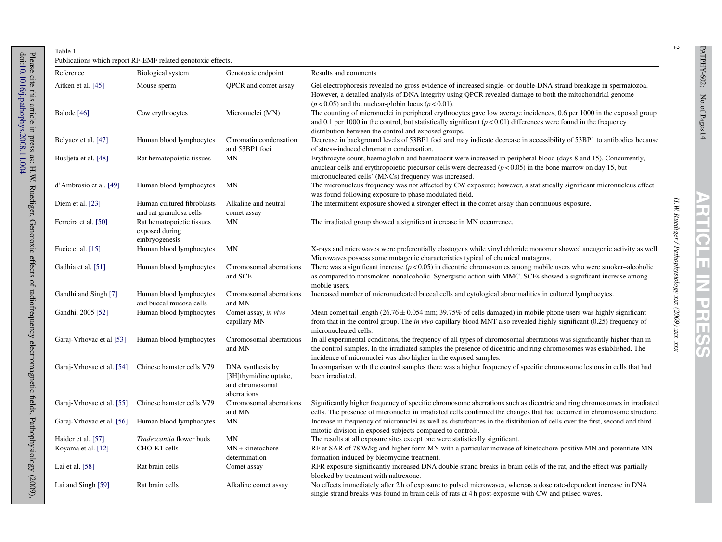<span id="page-1-0"></span>

| Reference                 | Biological system                                            | Genotoxic endpoint                                                          | Results and comments                                                                                                                                                                                                                                                                                             |  |
|---------------------------|--------------------------------------------------------------|-----------------------------------------------------------------------------|------------------------------------------------------------------------------------------------------------------------------------------------------------------------------------------------------------------------------------------------------------------------------------------------------------------|--|
| Aitken et al. [45]        | Mouse sperm                                                  | QPCR and comet assay                                                        | Gel electrophoresis revealed no gross evidence of increased single- or double-DNA strand breakage in spermatozoa.<br>However, a detailed analysis of DNA integrity using QPCR revealed damage to both the mitochondrial genome<br>$(p<0.05)$ and the nuclear-globin locus $(p<0.01)$ .                           |  |
| Balode [46]               | Cow erythrocytes                                             | Micronuclei (MN)                                                            | The counting of micronuclei in peripheral erythrocytes gave low average incidences, 0.6 per 1000 in the exposed group<br>and 0.1 per 1000 in the control, but statistically significant $(p < 0.01)$ differences were found in the frequency<br>distribution between the control and exposed groups.             |  |
| Belyaev et al. [47]       | Human blood lymphocytes                                      | Chromatin condensation<br>and 53BP1 foci                                    | Decrease in background levels of 53BP1 foci and may indicate decrease in accessibility of 53BP1 to antibodies because<br>of stress-induced chromatin condensation.                                                                                                                                               |  |
| Busljeta et al. [48]      | Rat hematopoietic tissues                                    | MN                                                                          | Erythrocyte count, haemoglobin and haematocrit were increased in peripheral blood (days 8 and 15). Concurrently,<br>anuclear cells and erythropoietic precursor cells were decreased $(p < 0.05)$ in the bone marrow on day 15, but<br>micronucleated cells' (MNCs) frequency was increased.                     |  |
| d'Ambrosio et al. [49]    | Human blood lymphocytes                                      | MΝ                                                                          | The micronucleus frequency was not affected by CW exposure; however, a statistically significant micronucleus effect<br>was found following exposure to phase modulated field.                                                                                                                                   |  |
| Diem et al. [23]          | Human cultured fibroblasts<br>and rat granulosa cells        | Alkaline and neutral<br>comet assay                                         | The intermittent exposure showed a stronger effect in the comet assay than continuous exposure.                                                                                                                                                                                                                  |  |
| Ferreira et al. [50]      | Rat hematopoietic tissues<br>exposed during<br>embryogenesis | MN                                                                          | The irradiated group showed a significant increase in MN occurrence.                                                                                                                                                                                                                                             |  |
| Fucic et al. [15]         | Human blood lymphocytes                                      | MΝ                                                                          | X-rays and microwaves were preferentially clastogens while vinyl chloride monomer showed aneugenic activity as well.<br>Microwaves possess some mutagenic characteristics typical of chemical mutagens.                                                                                                          |  |
| Gadhia et al. [51]        | Human blood lymphocytes                                      | Chromosomal aberrations<br>and SCE                                          | There was a significant increase $(p < 0.05)$ in dicentric chromosomes among mobile users who were smoker-alcoholic<br>as compared to nonsmoker–nonalcoholic. Synergistic action with MMC, SCEs showed a significant increase among<br>mobile users.                                                             |  |
| Gandhi and Singh [7]      | Human blood lymphocytes<br>and buccal mucosa cells           | Chromosomal aberrations<br>and MN                                           | Increased number of micronucleated buccal cells and cytological abnormalities in cultured lymphocytes.                                                                                                                                                                                                           |  |
| Gandhi, 2005 [52]         | Human blood lymphocytes                                      | Comet assay, in vivo<br>capillary MN                                        | Mean comet tail length $(26.76 \pm 0.054 \text{ mm})$ ; 39.75% of cells damaged) in mobile phone users was highly significant<br>from that in the control group. The in vivo capillary blood MNT also revealed highly significant (0.25) frequency of<br>micronucleated cells.                                   |  |
| Garaj-Vrhovac et al [53]  | Human blood lymphocytes                                      | Chromosomal aberrations<br>and MN                                           | In all experimental conditions, the frequency of all types of chromosomal aberrations was significantly higher than in<br>the control samples. In the irradiated samples the presence of dicentric and ring chromosomes was established. The<br>incidence of micronuclei was also higher in the exposed samples. |  |
| Garaj-Vrhovac et al. [54] | Chinese hamster cells V79                                    | DNA synthesis by<br>[3H]thymidine uptake,<br>and chromosomal<br>aberrations | In comparison with the control samples there was a higher frequency of specific chromosome lesions in cells that had<br>been irradiated.                                                                                                                                                                         |  |
| Garaj-Vrhovac et al. [55] | Chinese hamster cells V79                                    | Chromosomal aberrations<br>and MN                                           | Significantly higher frequency of specific chromosome aberrations such as dicentric and ring chromosomes in irradiated<br>cells. The presence of micronuclei in irradiated cells confirmed the changes that had occurred in chromosome structure.                                                                |  |
| Garaj-Vrhovac et al. [56] | Human blood lymphocytes                                      | MN                                                                          | Increase in frequency of micronuclei as well as disturbances in the distribution of cells over the first, second and third<br>mitotic division in exposed subjects compared to controls.                                                                                                                         |  |
| Haider et al. [57]        | Tradescantia flower buds                                     | MN                                                                          | The results at all exposure sites except one were statistically significant.                                                                                                                                                                                                                                     |  |
| Koyama et al. [12]        | CHO-K1 cells                                                 | $MN + kinetochore$<br>determination                                         | RF at SAR of 78 W/kg and higher form MN with a particular increase of kinetochore-positive MN and potentiate MN<br>formation induced by bleomycine treatment.                                                                                                                                                    |  |
| Lai et al. $[58]$         | Rat brain cells                                              | Comet assay                                                                 | RFR exposure significantly increased DNA double strand breaks in brain cells of the rat, and the effect was partially<br>blocked by treatment with naltrexone.                                                                                                                                                   |  |
| Lai and Singh $[59]$      | Rat brain cells                                              | Alkaline comet assay                                                        | No effects immediately after 2 h of exposure to pulsed microwaves, whereas a dose rate-dependent increase in DNA<br>single strand breaks was found in brain cells of rats at 4 h post-exposure with CW and pulsed waves.                                                                                         |  |

**ARTICLE IN PRESS**

**A** 

<u>nu</u> 匹 П  $\bm{G}$  $\overline{a}$ 

ыu e e m.  $\Box$ m. Ш

*H.W. Ruediger / Pathophysiology xxx (2009) xxx–xxx*

PATPHY-602; No. of Pages 14

PATPHY-602; No. of Pages 14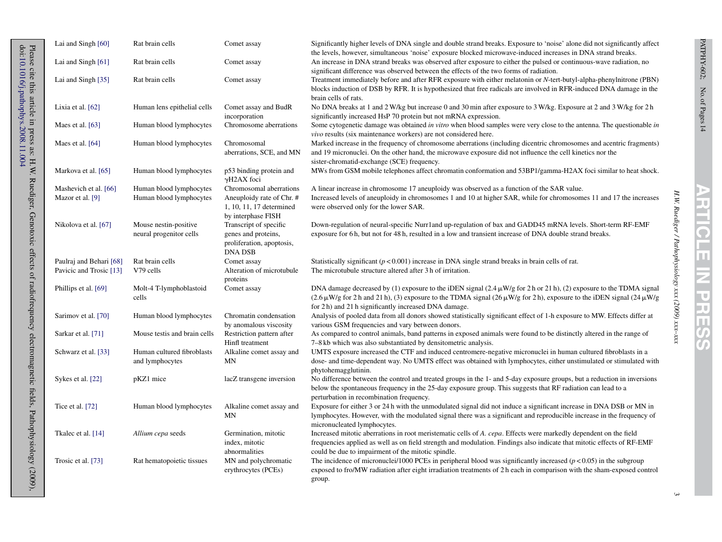H.W. Ruediger / Pathophysiology xxx (2009) xxx-xx

| Lai and Singh [60]                                 | Rat brain cells                                    | Comet assay                                                                                            | Significantly higher levels of DNA single and double strand breaks. Exposure to 'noise' alone did not significantly affect<br>the levels, however, simultaneous 'noise' exposure blocked microwave-induced increases in DNA strand breaks.                                                                                                       |
|----------------------------------------------------|----------------------------------------------------|--------------------------------------------------------------------------------------------------------|--------------------------------------------------------------------------------------------------------------------------------------------------------------------------------------------------------------------------------------------------------------------------------------------------------------------------------------------------|
| Lai and Singh [61]                                 | Rat brain cells                                    | Comet assay                                                                                            | An increase in DNA strand breaks was observed after exposure to either the pulsed or continuous-wave radiation, no<br>significant difference was observed between the effects of the two forms of radiation.                                                                                                                                     |
| Lai and Singh [35]                                 | Rat brain cells                                    | Comet assay                                                                                            | Treatment immediately before and after RFR exposure with either melatonin or N-tert-butyl-alpha-phenylnitrone (PBN)<br>blocks induction of DSB by RFR. It is hypothesized that free radicals are involved in RFR-induced DNA damage in the<br>brain cells of rats.                                                                               |
| Lixia et al. $[62]$                                | Human lens epithelial cells                        | Comet assay and BudR<br>incorporation                                                                  | No DNA breaks at 1 and 2 W/kg but increase 0 and 30 min after exposure to 3 W/kg. Exposure at 2 and 3 W/kg for 2 h<br>significantly increased HsP 70 protein but not mRNA expression.                                                                                                                                                            |
| Maes et al. [63]                                   | Human blood lymphocytes                            | Chromosome aberrations                                                                                 | Some cytogenetic damage was obtained in vitro when blood samples were very close to the antenna. The questionable in<br><i>vivo</i> results (six maintenance workers) are not considered here.                                                                                                                                                   |
| Maes et al. [64]                                   | Human blood lymphocytes                            | Chromosomal<br>aberrations, SCE, and MN                                                                | Marked increase in the frequency of chromosome aberrations (including dicentric chromosomes and acentric fragments)<br>and 19 micronuclei. On the other hand, the microwave exposure did not influence the cell kinetics nor the<br>sister-chromatid-exchange (SCE) frequency.                                                                   |
| Markova et al. [65]                                | Human blood lymphocytes                            | p53 binding protein and<br>$\gamma$ H2AX foci                                                          | MWs from GSM mobile telephones affect chromatin conformation and 53BP1/gamma-H2AX foci similar to heat shock.                                                                                                                                                                                                                                    |
| Mashevich et al. [66]<br>Mazor et al. [9]          | Human blood lymphocytes<br>Human blood lymphocytes | Chromosomal aberrations<br>Aneuploidy rate of Chr. #<br>1, 10, 11, 17 determined<br>by interphase FISH | A linear increase in chromosome 17 aneuploidy was observed as a function of the SAR value.<br>Increased levels of aneuploidy in chromosomes 1 and 10 at higher SAR, while for chromosomes 11 and 17 the increases<br>were observed only for the lower SAR.                                                                                       |
| Nikolova et al. [67]                               | Mouse nestin-positive<br>neural progenitor cells   | Transcript of specific<br>genes and proteins,<br>proliferation, apoptosis,<br><b>DNA DSB</b>           | Down-regulation of neural-specific Nurr1and up-regulation of bax and GADD45 mRNA levels. Short-term RF-EMF<br>exposure for 6 h, but not for 48 h, resulted in a low and transient increase of DNA double strand breaks.                                                                                                                          |
| Paulraj and Behari [68]<br>Pavicic and Trosic [13] | Rat brain cells<br>V79 cells                       | Comet assay<br>Alteration of microtubule<br>proteins                                                   | Statistically significant ( $p < 0.001$ ) increase in DNA single strand breaks in brain cells of rat.<br>The microtubule structure altered after 3 h of irritation.                                                                                                                                                                              |
| Phillips et al. [69]                               | Molt-4 T-lymphoblastoid<br>cells                   | Comet assay                                                                                            | DNA damage decreased by (1) exposure to the iDEN signal (2.4 $\mu$ W/g for 2 h or 21 h), (2) exposure to the TDMA signal<br>$(2.6 \,\mu\text{W/g}$ for 2 h and 21 h), (3) exposure to the TDMA signal $(26 \,\mu\text{W/g}$ for 2 h), exposure to the iDEN signal $(24 \,\mu\text{W/g})$<br>for 2h) and 21 h significantly increased DNA damage. |
| Sarimov et al. [70]                                | Human blood lymphocytes                            | Chromatin condensation<br>by anomalous viscosity                                                       | Analysis of pooled data from all donors showed statistically significant effect of 1-h exposure to MW. Effects differ at<br>various GSM frequencies and vary between donors.                                                                                                                                                                     |
| Sarkar et al. [71]                                 | Mouse test is and brain cells                      | Restriction pattern after<br>Hinfl treatment                                                           | As compared to control animals, band patterns in exposed animals were found to be distinctly altered in the range of<br>7–8 kb which was also substantiated by densite metric analysis.                                                                                                                                                          |
| Schwarz et al. [33]                                | Human cultured fibroblasts<br>and lymphocytes      | Alkaline comet assay and<br>MN                                                                         | UMTS exposure increased the CTF and induced centromere-negative micronuclei in human cultured fibroblasts in a<br>dose- and time-dependent way. No UMTS effect was obtained with lymphocytes, either unstimulated or stimulated with<br>phytohemagglutinin.                                                                                      |
| Sykes et al. [22]                                  | pKZ1 mice                                          | lacZ transgene inversion                                                                               | No difference between the control and treated groups in the 1- and 5-day exposure groups, but a reduction in inversions<br>below the spontaneous frequency in the 25-day exposure group. This suggests that RF radiation can lead to a<br>perturbation in recombination frequency.                                                               |
| Tice et al. [72]                                   | Human blood lymphocytes                            | Alkaline comet assay and<br>MN                                                                         | Exposure for either 3 or 24 h with the unmodulated signal did not induce a significant increase in DNA DSB or MN in<br>lymphocytes. However, with the modulated signal there was a significant and reproducible increase in the frequency of<br>micronucleated lymphocytes.                                                                      |
| Tkalec et al. [14]                                 | Allium cepa seeds                                  | Germination, mitotic<br>index, mitotic<br>abnormalities                                                | Increased mitotic aberrations in root meristematic cells of A. cepa. Effects were markedly dependent on the field<br>frequencies applied as well as on field strength and modulation. Findings also indicate that mitotic effects of RF-EMF<br>could be due to impairment of the mitotic spindle.                                                |
| Trosic et al. [73]                                 | Rat hematopoietic tissues                          | MN and polychromatic<br>erythrocytes (PCEs)                                                            | The incidence of micronuclei/1000 PCEs in peripheral blood was significantly increased ( $p < 0.05$ ) in the subgroup<br>exposed to fro/MW radiation after eight irradiation treatments of 2 h each in comparison with the sham-exposed control<br>group.                                                                                        |

Please cite this article in press as: H.W. Ruediger, Genotoxic effects of radiofrequency electromagnetic fields, Pathophysiology (2009), doi:10.1016/j.pathophys.2008.11.004<br>doi:10.1016/j.pathophys.2008.11.004 Please cite this article in press as: H.W. Ruediger, Genotoxic effects of radiofrequency electromagnetic fields, Pathophysiology (2009),

[10.1016/j.pathophys.2008.11.004](dx.doi.org/10.1016/j.pathophys.2008.11.004)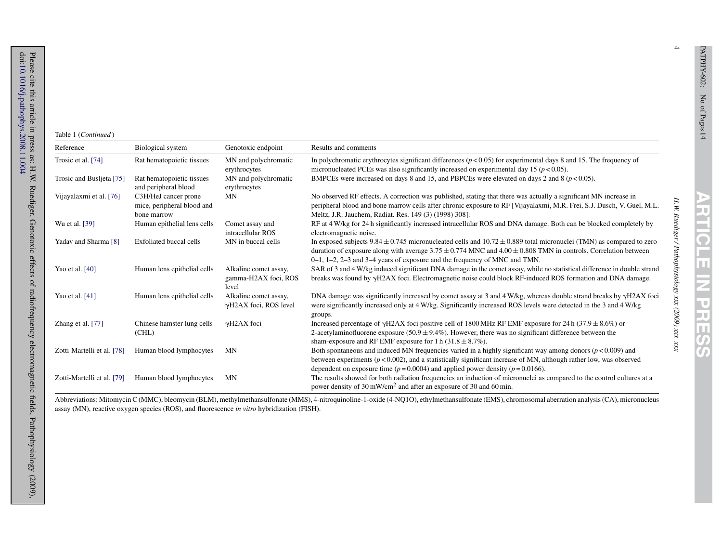4

*H.W. Ruediger / Pathophysiology xxx (2009) xxx–xxx*

H.W. Ruediger / Pathophysiology xxx (2009) xxx-xxx

## Table 1 (*Continued* )

| Reference                  | Biological system                                                 | Genotoxic endpoint                                     | Results and comments                                                                                                                                                                                                                                                                                                                 |
|----------------------------|-------------------------------------------------------------------|--------------------------------------------------------|--------------------------------------------------------------------------------------------------------------------------------------------------------------------------------------------------------------------------------------------------------------------------------------------------------------------------------------|
| Trosic et al. [74]         | Rat hematopoietic tissues                                         | MN and polychromatic<br>erythrocytes                   | In polychromatic erythrocytes significant differences $(p < 0.05)$ for experimental days 8 and 15. The frequency of<br>micronucleated PCEs was also significantly increased on experimental day 15 ( $p < 0.05$ ).                                                                                                                   |
| Trosic and Buslieta [75]   | Rat hematopoietic tissues<br>and peripheral blood                 | MN and polychromatic<br>erythrocytes                   | BMPCEs were increased on days 8 and 15, and PBPCEs were elevated on days 2 and 8 ( $p < 0.05$ ).                                                                                                                                                                                                                                     |
| Vijayalaxmi et al. [76]    | C3H/HeJ cancer prone<br>mice, peripheral blood and<br>bone marrow | MN                                                     | No observed RF effects. A correction was published, stating that there was actually a significant MN increase in<br>peripheral blood and bone marrow cells after chronic exposure to RF [Vijayalaxmi, M.R. Frei, S.J. Dusch, V. Guel, M.L.<br>Meltz, J.R. Jauchem, Radiat. Res. 149 (3) (1998) 308].                                 |
| Wu et al. [39]             | Human epithelial lens cells                                       | Comet assay and<br>intracellular ROS                   | RF at 4 W/kg for 24 h significantly increased intracellular ROS and DNA damage. Both can be blocked completely by<br>electromagnetic noise.                                                                                                                                                                                          |
| Yadav and Sharma [8]       | Exfoliated buccal cells                                           | MN in buccal cells                                     | In exposed subjects $9.84 \pm 0.745$ micronucleated cells and $10.72 \pm 0.889$ total micronuclei (TMN) as compared to zero<br>duration of exposure along with average $3.75 \pm 0.774$ MNC and $4.00 \pm 0.808$ TMN in controls. Correlation between<br>0-1, 1-2, 2-3 and 3-4 years of exposure and the frequency of MNC and TMN.   |
| Yao et al. $[40]$          | Human lens epithelial cells                                       | Alkaline comet assay,<br>gamma-H2AX foci, ROS<br>level | SAR of 3 and 4 W/kg induced significant DNA damage in the comet assay, while no statistical difference in double strand<br>breaks was found by $\gamma$ H2AX foci. Electromagnetic noise could block RF-induced ROS formation and DNA damage.                                                                                        |
| Yao et al. [41]            | Human lens epithelial cells                                       | Alkaline comet assay,<br>$\gamma$ H2AX foci, ROS level | DNA damage was significantly increased by comet assay at 3 and 4 W/kg, whereas double strand breaks by $\gamma$ H2AX foci<br>were significantly increased only at 4 W/kg. Significantly increased ROS levels were detected in the 3 and 4 W/kg<br>groups.                                                                            |
| Zhang et al. [77]          | Chinese hamster lung cells<br>(CHL)                               | $\gamma$ H2AX foci                                     | Increased percentage of $\gamma$ H2AX foci positive cell of 1800 MHz RF EMF exposure for 24 h (37.9 $\pm$ 8.6%) or<br>2-acetylaminofluorene exposure (50.9 $\pm$ 9.4%). However, there was no significant difference between the<br>sham-exposure and RF EMF exposure for 1 h $(31.8 \pm 8.7\%)$ .                                   |
| Zotti-Martelli et al. [78] | Human blood lymphocytes                                           | <b>MN</b>                                              | Both spontaneous and induced MN frequencies varied in a highly significant way among donors ( $p < 0.009$ ) and<br>between experiments ( $p < 0.002$ ), and a statistically significant increase of MN, although rather low, was observed<br>dependent on exposure time ( $p = 0.0004$ ) and applied power density ( $p = 0.0166$ ). |
| Zotti-Martelli et al. [79] | Human blood lymphocytes                                           | <b>MN</b>                                              | The results showed for both radiation frequencies an induction of micronuclei as compared to the control cultures at a<br>power density of 30 mW/cm <sup>2</sup> and after an exposure of 30 and 60 min.                                                                                                                             |

Abbreviations: Mitomycin C (MMC), bleomycin (BLM), methylmethansulfonate (MMS), 4-nitroquinoline-1-oxide (4-NQ1O), ethylmethansulfonate (EMS), chromosomal aberration analysis (CA), micronucleus assay (MN), reactive oxygen species (ROS), and fluorescence *in vitro* hybridization (FISH).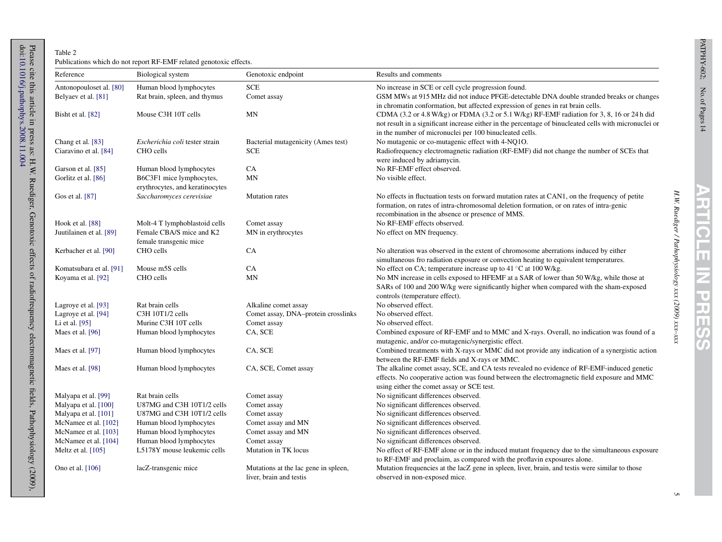H. W. Ruediger / Pathophysiology xxx (2009) xxx-xxx

### <span id="page-4-0"></span>Table 2 Publications which do not repor<sup>t</sup> RF-EMF related genotoxic effects.

| Reference               | Biological system               | Genotoxic endpoint                   | Results and comments                                                                                                                                                                                                                                                                    |
|-------------------------|---------------------------------|--------------------------------------|-----------------------------------------------------------------------------------------------------------------------------------------------------------------------------------------------------------------------------------------------------------------------------------------|
| Antonopouloset al. [80] | Human blood lymphocytes         | <b>SCE</b>                           | No increase in SCE or cell cycle progression found.                                                                                                                                                                                                                                     |
| Belyaev et al. [81]     | Rat brain, spleen, and thymus   | Comet assay                          | GSM MWs at 915 MHz did not induce PFGE-detectable DNA double stranded breaks or changes                                                                                                                                                                                                 |
| Bisht et al. [82]       | Mouse C3H 10T cells             | MN                                   | in chromatin conformation, but affected expression of genes in rat brain cells.<br>CDMA (3.2 or 4.8 W/kg) or FDMA (3.2 or 5.1 W/kg) RF-EMF radiation for 3, 8, 16 or 24 h did<br>not result in a significant increase either in the percentage of binucleated cells with micronuclei or |
|                         |                                 |                                      | in the number of micronuclei per 100 binucleated cells.                                                                                                                                                                                                                                 |
| Chang et al. [83]       | Escherichia coli tester strain  | Bacterial mutagenicity (Ames test)   | No mutagenic or co-mutagenic effect with 4-NQ10.                                                                                                                                                                                                                                        |
| Ciaravino et al. [84]   | CHO cells                       | SCE                                  | Radiofrequency electromagnetic radiation (RF-EMF) did not change the number of SCEs that<br>were induced by adriamycin.                                                                                                                                                                 |
| Garson et al. [85]      | Human blood lymphocytes         | CA                                   | No RF-EMF effect observed.                                                                                                                                                                                                                                                              |
| Gorlitz et al. [86]     | B6C3F1 mice lymphocytes,        | MN                                   | No visible effect.                                                                                                                                                                                                                                                                      |
|                         | erythrocytes, and keratinocytes |                                      |                                                                                                                                                                                                                                                                                         |
| Gos et al. [87]         | Saccharomyces cerevisiae        | <b>Mutation</b> rates                | No effects in fluctuation tests on forward mutation rates at CAN1, on the frequency of petite                                                                                                                                                                                           |
|                         |                                 |                                      | formation, on rates of intra-chromosomal deletion formation, or on rates of intra-genic                                                                                                                                                                                                 |
|                         |                                 |                                      | recombination in the absence or presence of MMS.                                                                                                                                                                                                                                        |
| Hook et al. [88]        | Molt-4 T lymphoblastoid cells   | Comet assay                          | No RF-EMF effects observed.                                                                                                                                                                                                                                                             |
| Juutilainen et al. [89] | Female CBA/S mice and K2        | MN in erythrocytes                   | No effect on MN frequency.                                                                                                                                                                                                                                                              |
|                         | female transgenic mice          |                                      |                                                                                                                                                                                                                                                                                         |
| Kerbacher et al. [90]   | CHO cells                       | <b>CA</b>                            | No alteration was observed in the extent of chromosome aberrations induced by either                                                                                                                                                                                                    |
|                         |                                 |                                      | simultaneous fro radiation exposure or convection heating to equivalent temperatures.                                                                                                                                                                                                   |
| Komatsubara et al. [91] | Mouse m5S cells                 | CA                                   | No effect on CA; temperature increase up to $41^{\circ}$ C at $100$ W/kg.                                                                                                                                                                                                               |
| Koyama et al. [92]      | CHO cells                       | MN                                   | No MN increase in cells exposed to HFEMF at a SAR of lower than 50 W/kg, while those at                                                                                                                                                                                                 |
|                         |                                 |                                      | SARs of 100 and 200 W/kg were significantly higher when compared with the sham-exposed                                                                                                                                                                                                  |
|                         |                                 |                                      | controls (temperature effect).                                                                                                                                                                                                                                                          |
| Lagroye et al. [93]     | Rat brain cells                 | Alkaline comet assay                 | No observed effect.                                                                                                                                                                                                                                                                     |
| Lagroye et al. [94]     | C3H 10T1/2 cells                | Comet assay, DNA-protein crosslinks  | No observed effect.                                                                                                                                                                                                                                                                     |
| Li et al. [95]          | Murine C3H 10T cells            | Comet assay                          | No observed effect.                                                                                                                                                                                                                                                                     |
| Maes et al. [96]        | Human blood lymphocytes         | CA, SCE                              | Combined exposure of RF-EMF and to MMC and X-rays. Overall, no indication was found of a<br>mutagenic, and/or co-mutagenic/synergistic effect.                                                                                                                                          |
| Maes et al. [97]        | Human blood lymphocytes         | CA, SCE                              | Combined treatments with X-rays or MMC did not provide any indication of a synergistic action                                                                                                                                                                                           |
|                         |                                 |                                      | between the RF-EMF fields and X-rays or MMC.                                                                                                                                                                                                                                            |
| Maes et al. [98]        | Human blood lymphocytes         | CA, SCE, Comet assay                 | The alkaline comet assay, SCE, and CA tests revealed no evidence of RF-EMF-induced genetic                                                                                                                                                                                              |
|                         |                                 |                                      | effects. No cooperative action was found between the electromagnetic field exposure and MMC                                                                                                                                                                                             |
|                         |                                 |                                      | using either the comet assay or SCE test.                                                                                                                                                                                                                                               |
| Malyapa et al. [99]     | Rat brain cells                 | Comet assay                          | No significant differences observed.                                                                                                                                                                                                                                                    |
| Malyapa et al. [100]    | U87MG and C3H 10T1/2 cells      | Comet assay                          | No significant differences observed.                                                                                                                                                                                                                                                    |
| Malyapa et al. [101]    | U87MG and C3H 10T1/2 cells      | Comet assay                          | No significant differences observed.                                                                                                                                                                                                                                                    |
| McNamee et al. [102]    | Human blood lymphocytes         | Comet assay and MN                   | No significant differences observed.                                                                                                                                                                                                                                                    |
| McNamee et al. [103]    | Human blood lymphocytes         | Comet assay and MN                   | No significant differences observed.                                                                                                                                                                                                                                                    |
| McNamee et al. [104]    | Human blood lymphocytes         | Comet assay                          | No significant differences observed.                                                                                                                                                                                                                                                    |
| Meltz et al. $[105]$    | L5178Y mouse leukemic cells     | Mutation in TK locus                 | No effect of RF-EMF alone or in the induced mutant frequency due to the simultaneous exposure                                                                                                                                                                                           |
|                         |                                 |                                      | to RF-EMF and proclaim, as compared with the proflavin exposures alone.                                                                                                                                                                                                                 |
| Ono et al. [106]        | lacZ-transgenic mice            | Mutations at the lac gene in spleen, | Mutation frequencies at the lacZ gene in spleen, liver, brain, and test is were similar to those                                                                                                                                                                                        |
|                         |                                 | liver, brain and testis              | observed in non-exposed mice.                                                                                                                                                                                                                                                           |

 $\sigma$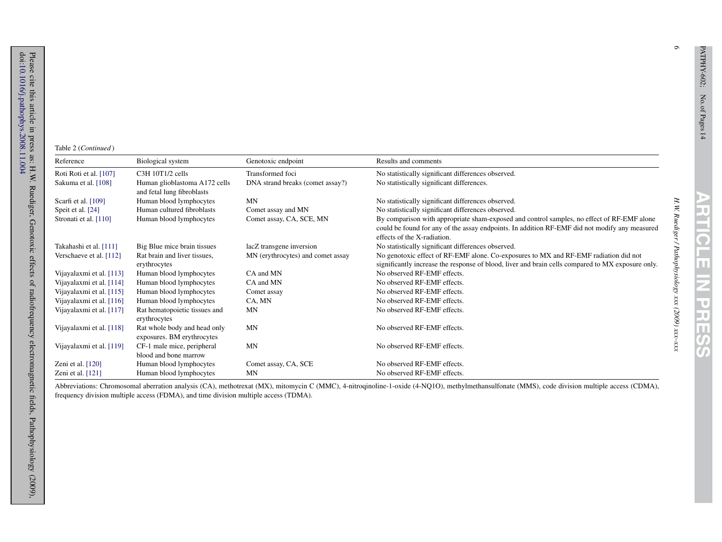$\circ$ 

*H.W. Ruediger / Pathophysiology xxx (2009) xxx–xxx*

H.W. Ruediger / Pathophysiology xxx (2009) xxx-xxx

## Table 2 (*Continued* )

| Reference                | Biological system                                           | Genotoxic endpoint                | Results and comments                                                                                                                                                                                                       |
|--------------------------|-------------------------------------------------------------|-----------------------------------|----------------------------------------------------------------------------------------------------------------------------------------------------------------------------------------------------------------------------|
| Roti Roti et al. [107]   | C3H 10T1/2 cells                                            | Transformed foci                  | No statistically significant differences observed.                                                                                                                                                                         |
| Sakuma et al. [108]      | Human glioblastoma A172 cells<br>and fetal lung fibroblasts | DNA strand breaks (comet assay?)  | No statistically significant differences.                                                                                                                                                                                  |
| Scarfi et al. $[109]$    | Human blood lymphocytes                                     | MN                                | No statistically significant differences observed.                                                                                                                                                                         |
| Speit et al. [24]        | Human cultured fibroblasts                                  | Comet assay and MN                | No statistically significant differences observed.                                                                                                                                                                         |
| Stronati et al. [110]    | Human blood lymphocytes                                     | Comet assay, CA, SCE, MN          | By comparison with appropriate sham-exposed and control samples, no effect of RF-EMF alone<br>could be found for any of the assay endpoints. In addition RF-EMF did not modify any measured<br>effects of the X-radiation. |
| Takahashi et al. [111]   | Big Blue mice brain tissues                                 | lacZ transgene inversion          | No statistically significant differences observed.                                                                                                                                                                         |
| Verschaeve et al. [112]  | Rat brain and liver tissues,<br>erythrocytes                | MN (erythrocytes) and comet assay | No genotoxic effect of RF-EMF alone. Co-exposures to MX and RF-EMF radiation did not<br>significantly increase the response of blood, liver and brain cells compared to MX exposure only.                                  |
| Vijayalaxmi et al. [113] | Human blood lymphocytes                                     | CA and MN                         | No observed RF-EMF effects.                                                                                                                                                                                                |
| Vijayalaxmi et al. [114] | Human blood lymphocytes                                     | CA and MN                         | No observed RF-EMF effects.                                                                                                                                                                                                |
| Vijayalaxmi et al. [115] | Human blood lymphocytes                                     | Comet assay                       | No observed RF-EMF effects.                                                                                                                                                                                                |
| Vijayalaxmi et al. [116] | Human blood lymphocytes                                     | CA, MN                            | No observed RF-EMF effects.                                                                                                                                                                                                |
| Vijayalaxmi et al. [117] | Rat hematopoietic tissues and<br>erythrocytes               | MN                                | No observed RF-EMF effects.                                                                                                                                                                                                |
| Vijayalaxmi et al. [118] | Rat whole body and head only<br>exposures. BM erythrocytes  | MN                                | No observed RF-EMF effects.                                                                                                                                                                                                |
| Vijayalaxmi et al. [119] | CF-1 male mice, peripheral<br>blood and bone marrow         | MN                                | No observed RF-EMF effects.                                                                                                                                                                                                |
| Zeni et al. $[120]$      | Human blood lymphocytes                                     | Comet assay, CA, SCE              | No observed RF-EMF effects.                                                                                                                                                                                                |
| Zeni et al. $[121]$      | Human blood lymphocytes                                     | MN                                | No observed RF-EMF effects.                                                                                                                                                                                                |

Abbreviations: Chromosomal aberration analysis (CA), methotrexat (MX), mitomycin C (MMC), 4-nitroqinoline-1-oxide (4-NQ1O), methylmethansulfonate (MMS), code division multiple access (CDMA), frequency division multiple access (FDMA), and time division multiple access (TDMA).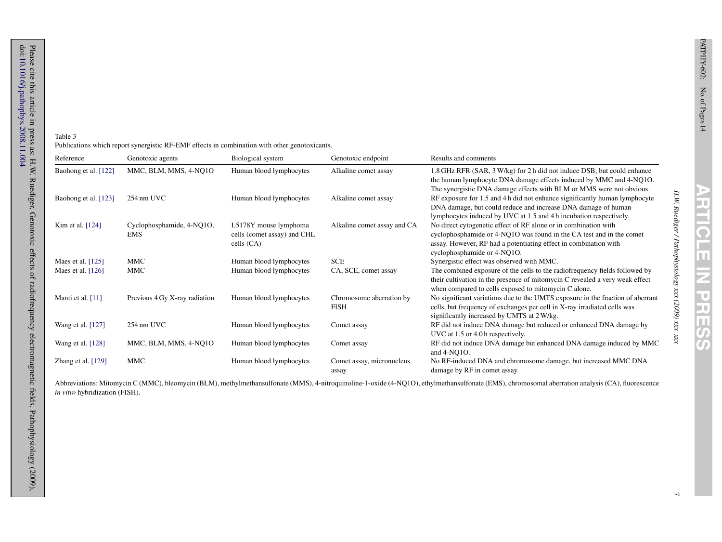H.W. Ruediger / Pathophysiology xxx (2009) xxx-xxx

| Table 3                                                                                       |  |
|-----------------------------------------------------------------------------------------------|--|
| Publications which report synergistic RF-EMF effects in combination with other genotoxicants. |  |

<span id="page-6-0"></span>Please cite this article in press as: H.W. Ruediger, Genotoxic effects of radiofrequency electromagnetic fields, Pathophysiology (2009), doi:10.1016/j.pathophys.2008.11.004<br>doi:10.1016/j.pathophys.2008.11.004 Please cite this article in press as: H.W. Ruediger, Genotoxic effects of radiofrequency electromagnetic fields, Pathophysiology (2009),

[10.1016/j.pathophys.2008.11.004](dx.doi.org/10.1016/j.pathophys.2008.11.004)

| Reference            | Genotoxic agents                        | Biological system                                                    | Genotoxic endpoint                      | Results and comments                                                                                                                                                                                                                       |
|----------------------|-----------------------------------------|----------------------------------------------------------------------|-----------------------------------------|--------------------------------------------------------------------------------------------------------------------------------------------------------------------------------------------------------------------------------------------|
| Baohong et al. [122] | MMC, BLM, MMS, 4-NQ1O                   | Human blood lymphocytes                                              | Alkaline comet assay                    | 1.8 GHz RFR (SAR, 3 W/kg) for 2 h did not induce DSB, but could enhance<br>the human lymphocyte DNA damage effects induced by MMC and 4-NQ10.<br>The synergistic DNA damage effects with BLM or MMS were not obvious.                      |
| Baohong et al. [123] | 254 nm UVC                              | Human blood lymphocytes                                              | Alkaline comet assay                    | RF exposure for 1.5 and 4 h did not enhance significantly human lymphocyte<br>DNA damage, but could reduce and increase DNA damage of human<br>lymphocytes induced by UVC at 1.5 and 4 h incubation respectively.                          |
| Kim et al. $[124]$   | Cyclophosphamide, 4-NQ1O,<br><b>EMS</b> | L5178Y mouse lymphoma<br>cells (comet assay) and CHL<br>cells $(CA)$ | Alkaline comet assay and CA             | No direct cytogenetic effect of RF alone or in combination with<br>cyclophosphamide or 4-NQ1O was found in the CA test and in the comet<br>assay. However, RF had a potentiating effect in combination with<br>cyclophosphamide or 4-NQ1O. |
| Maes et al. $[125]$  | MMC                                     | Human blood lymphocytes                                              | <b>SCE</b>                              | Synergistic effect was observed with MMC.                                                                                                                                                                                                  |
| Maes et al. $[126]$  | MMC                                     | Human blood lymphocytes                                              | CA, SCE, comet assay                    | The combined exposure of the cells to the radiofrequency fields followed by<br>their cultivation in the presence of mitomycin C revealed a very weak effect<br>when compared to cells exposed to mitomycin C alone.                        |
| Manti et al. $[11]$  | Previous 4 Gy X-ray radiation           | Human blood lymphocytes                                              | Chromosome aberration by<br><b>FISH</b> | No significant variations due to the UMTS exposure in the fraction of aberrant<br>cells, but frequency of exchanges per cell in X-ray irradiated cells was<br>significantly increased by UMTS at 2 W/kg.                                   |
| Wang et al. [127]    | 254 nm UVC                              | Human blood lymphocytes                                              | Comet assay                             | RF did not induce DNA damage but reduced or enhanced DNA damage by<br>UVC at 1.5 or 4.0 h respectively.                                                                                                                                    |
| Wang et al. [128]    | MMC, BLM, MMS, 4-NQ1O                   | Human blood lymphocytes                                              | Comet assay                             | RF did not induce DNA damage but enhanced DNA damage induced by MMC<br>and 4-NQ10.                                                                                                                                                         |
| Zhang et al. [129]   | MMC                                     | Human blood lymphocytes                                              | Comet assay, micronucleus<br>assay      | No RF-induced DNA and chromosome damage, but increased MMC DNA<br>damage by RF in comet assay.                                                                                                                                             |

Abbreviations: Mitomycin C (MMC), bleomycin (BLM), methylmethansulfonate (MMS), 4-nitroquinoline-1-oxide (4-NQ1O), ethylmethansulfonate (EMS), chromosomal aberration analysis (CA), fluorescence *in vitro* hybridization (FISH).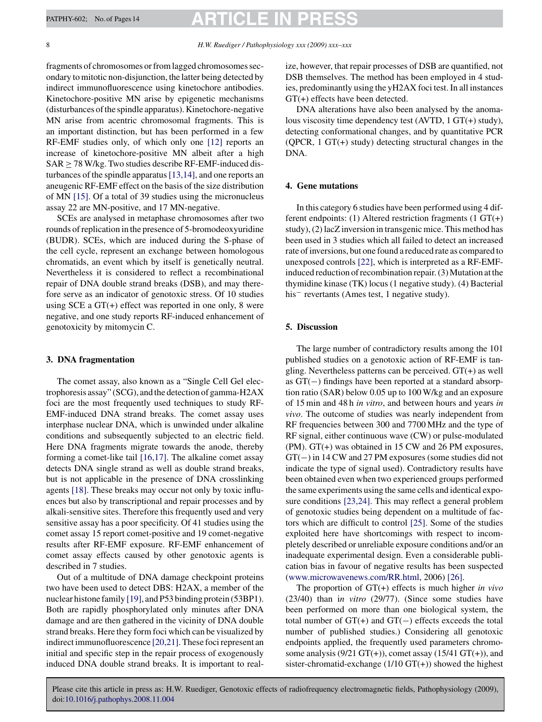fragments of chromosomes or from lagged chromosomes secondary to mitotic non-disjunction, the latter being detected by indirect immunofluorescence using kinetochore antibodies. Kinetochore-positive MN arise by epigenetic mechanisms (disturbances of the spindle apparatus). Kinetochore-negative MN arise from acentric chromosomal fragments. This is an important distinction, but has been performed in a few RF-EMF studies only, of which only one [\[12\]](#page-9-0) reports an increase of kinetochore-positive MN albeit after a high  $SAR \geq 78$  W/kg. Two studies describe RF-EMF-induced disturbances of the spindle apparatus[\[13,14\], a](#page-9-0)nd one reports an aneugenic RF-EMF effect on the basis of the size distribution of MN [\[15\].](#page-9-0) Of a total of 39 studies using the micronucleus assay 22 are MN-positive, and 17 MN-negative.

SCEs are analysed in metaphase chromosomes after two rounds of replication in the presence of 5-bromodeoxyuridine (BUDR). SCEs, which are induced during the S-phase of the cell cycle, represent an exchange between homologous chromatids, an event which by itself is genetically neutral. Nevertheless it is considered to reflect a recombinational repair of DNA double strand breaks (DSB), and may therefore serve as an indicator of genotoxic stress. Of 10 studies using SCE a GT(+) effect was reported in one only, 8 were negative, and one study reports RF-induced enhancement of genotoxicity by mitomycin C.

#### **3. DNA fragmentation**

The comet assay, also known as a "Single Cell Gel electrophoresis assay" (SCG), and the detection of gamma-H2AX foci are the most frequently used techniques to study RF-EMF-induced DNA strand breaks. The comet assay uses interphase nuclear DNA, which is unwinded under alkaline conditions and subsequently subjected to an electric field. Here DNA fragments migrate towards the anode, thereby forming a comet-like tail [\[16,17\].](#page-9-0) The alkaline comet assay detects DNA single strand as well as double strand breaks, but is not applicable in the presence of DNA crosslinking agents [\[18\].](#page-9-0) These breaks may occur not only by toxic influences but also by transcriptional and repair processes and by alkali-sensitive sites. Therefore this frequently used and very sensitive assay has a poor specificity. Of 41 studies using the comet assay 15 report comet-positive and 19 comet-negative results after RF-EMF exposure. RF-EMF enhancement of comet assay effects caused by other genotoxic agents is described in 7 studies.

Out of a multitude of DNA damage checkpoint proteins two have been used to detect DBS: H2AX, a member of the nuclear histone family [\[19\], a](#page-9-0)nd P53 binding protein (53BP1). Both are rapidly phosphorylated only minutes after DNA damage and are then gathered in the vicinity of DNA double strand breaks. Here they form foci which can be visualized by indirect immunofluorescence [\[20,21\]. T](#page-9-0)hese foci represent an initial and specific step in the repair process of exogenously induced DNA double strand breaks. It is important to realize, however, that repair processes of DSB are quantified, not DSB themselves. The method has been employed in 4 studies, predominantly using the yH2AX foci test. In all instances GT(+) effects have been detected.

DNA alterations have also been analysed by the anomalous viscosity time dependency test (AVTD, 1 GT(+) study), detecting conformational changes, and by quantitative PCR  $(QPCR, 1 GT(+) study) detecting structural changes in the$ DNA.

### **4. Gene mutations**

In this category 6 studies have been performed using 4 different endpoints: (1) Altered restriction fragments (1  $GT(+)$ ) study), (2) lacZ inversion in transgenic mice. This method has been used in 3 studies which all failed to detect an increased rate of inversions, but one found a reduced rate as compared to unexposed controls [\[22\], w](#page-10-0)hich is interpreted as a RF-EMFinduced reduction of recombination repair.  $(3)$  Mutation at the thymidine kinase (TK) locus (1 negative study). (4) Bacterial his− revertants (Ames test, 1 negative study).

#### **5. Discussion**

The large number of contradictory results among the 101 published studies on a genotoxic action of RF-EMF is tangling. Nevertheless patterns can be perceived. GT(+) as well as GT(−) findings have been reported at a standard absorption ratio (SAR) below 0.05 up to 100 W/kg and an exposure of 15 min and 48 h *in vitro*, and between hours and years *in vivo*. The outcome of studies was nearly independent from RF frequencies between 300 and 7700 MHz and the type of RF signal, either continuous wave (CW) or pulse-modulated (PM). GT(+) was obtained in 15 CW and 26 PM exposures, GT(−) in 14 CW and 27 PM exposures (some studies did not indicate the type of signal used). Contradictory results have been obtained even when two experienced groups performed the same experiments using the same cells and identical exposure conditions [\[23,24\]. T](#page-10-0)his may reflect a general problem of genotoxic studies being dependent on a multitude of factors which are difficult to control [\[25\].](#page-10-0) Some of the studies exploited here have shortcomings with respect to incompletely described or unreliable exposure conditions and/or an inadequate experimental design. Even a considerable publication bias in favour of negative results has been suspected [\(www.microwavenews.com/RR.html,](http://www.microwavenews.com/RR.html) 2006) [\[26\].](#page-10-0)

The proportion of GT(+) effects is much higher *in vivo* (23/40) than i*n vitro* (29/77). (Since some studies have been performed on more than one biological system, the total number of GT(+) and GT(−) effects exceeds the total number of published studies.) Considering all genotoxic endpoints applied, the frequently used parameters chromosome analysis (9/21 GT(+)), comet assay (15/41 GT(+)), and sister-chromatid-exchange  $(1/10 \text{ GT}(+) )$  showed the highest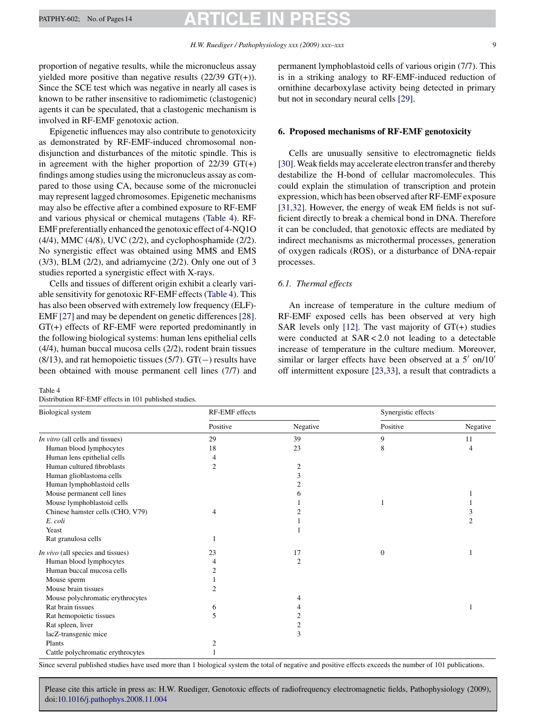proportion of negative results, while the micronucleus assay yielded more positive than negative results  $(22/39 \text{ GT}(+))$ . Since the SCE test which was negative in nearly all cases is known to be rather insensitive to radiomimetic (clastogenic) agents it can be speculated, that a clastogenic mechanism is involved in RF-EMF genotoxic action.

Epigenetic influences may also contribute to genotoxicity as demonstrated by RF-EMF-induced chromosomal nondisjunction and disturbances of the mitotic spindle. This is in agreement with the higher proportion of  $22/39$  GT(+) findings among studies using the micronucleus assay as compared to those using CA, because some of the micronuclei may represent lagged chromosomes. Epigenetic mechanisms may also be effective after a combined exposure to RF-EMF and various physical or chemical mutagens (Table 4). RF-EMF preferentially enhanced the genotoxic effect of 4-NQ1O (4/4), MMC (4/8), UVC (2/2), and cyclophosphamide (2/2). No synergistic effect was obtained using MMS and EMS  $(3/3)$ , BLM  $(2/2)$ , and adriamycine  $(2/2)$ . Only one out of 3 studies reported a synergistic effect with X-rays.

Cells and tissues of different origin exhibit a clearly variable sensitivity for genotoxic RF-EMF effects (Table 4). This has also been observed with extremely low frequency (ELF)- EMF [\[27\]](#page-10-0) and may be dependent on genetic differences [\[28\].](#page-10-0) GT(+) effects of RF-EMF were reported predominantly in the following biological systems: human lens epithelial cells (4/4), human buccal mucosa cells (2/2), rodent brain tissues  $(8/13)$ , and rat hemopoietic tissues  $(5/7)$ . GT(−) results have been obtained with mouse permanent cell lines (7/7) and

#### Table 4

Distribution RF-EMF effects in 101 published studies.

permanent lymphoblastoid cells of various origin (7/7). This is in a striking analogy to RF-EMF-induced reduction of ornithine decarboxylase activity being detected in primary but not in secondary neural cells [\[29\].](#page-10-0)

### **6. Proposed mechanisms of RF-EMF genotoxicity**

Cells are unusually sensitive to electromagnetic fields [\[30\].W](#page-10-0)eak fields may accelerate electron transfer and thereby destabilize the H-bond of cellular macromolecules. This could explain the stimulation of transcription and protein expression, which has been observed after RF-EMF exposure [\[31,32\].](#page-10-0) However, the energy of weak EM fields is not sufficient directly to break a chemical bond in DNA. Therefore it can be concluded, that genotoxic effects are mediated by indirect mechanisms as microthermal processes, generation of oxygen radicals (ROS), or a disturbance of DNA-repair processes.

### *6.1. Thermal effects*

An increase of temperature in the culture medium of RF-EMF exposed cells has been observed at very high SAR levels only  $[12]$ . The vast majority of  $GT(+)$  studies were conducted at SAR < 2.0 not leading to a detectable increase of temperature in the culture medium. Moreover, similar or larger effects have been observed at a  $5'$  on/10' off intermittent exposure [\[23,33\],](#page-10-0) a result that contradicts a

| Biological system                 | RF-EMF effects |                | Synergistic effects |          |
|-----------------------------------|----------------|----------------|---------------------|----------|
|                                   | Positive       | Negative       | Positive            | Negative |
| In vitro (all cells and tissues)  | 29             | 39             | 9                   | 11       |
| Human blood lymphocytes           | 18             | 23             | 8                   | 4        |
| Human lens epithelial cells       | 4              |                |                     |          |
| Human cultured fibroblasts        | $\overline{2}$ | $\mathfrak{2}$ |                     |          |
| Human glioblastoma cells          |                | 3              |                     |          |
| Human lymphoblastoid cells        |                | 2              |                     |          |
| Mouse permanent cell lines        |                | 6              |                     |          |
| Mouse lymphoblastoid cells        |                |                |                     |          |
| Chinese hamster cells (CHO, V79)  | 4              | 2              |                     | 3        |
| E. coli                           |                |                |                     | 2        |
| Yeast                             |                |                |                     |          |
| Rat granulosa cells               |                |                |                     |          |
| In vivo (all species and tissues) | 23             | 17             | $\boldsymbol{0}$    |          |
| Human blood lymphocytes           | 4              | 2              |                     |          |
| Human buccal mucosa cells         | 2              |                |                     |          |
| Mouse sperm                       |                |                |                     |          |
| Mouse brain tissues               | 2              |                |                     |          |
| Mouse polychromatic erythrocytes  |                | 4              |                     |          |
| Rat brain tissues                 | 6              | 4              |                     |          |
| Rat hemopoietic tissues           | 5              | 2              |                     |          |
| Rat spleen, liver                 |                | $\overline{2}$ |                     |          |
| lacZ-transgenic mice              |                | 3              |                     |          |
| Plants                            | 2              |                |                     |          |
| Cattle polychromatic erythrocytes |                |                |                     |          |

Since several published studies have used more than 1 biological system the total of negative and positive effects exceeds the number of 101 publications.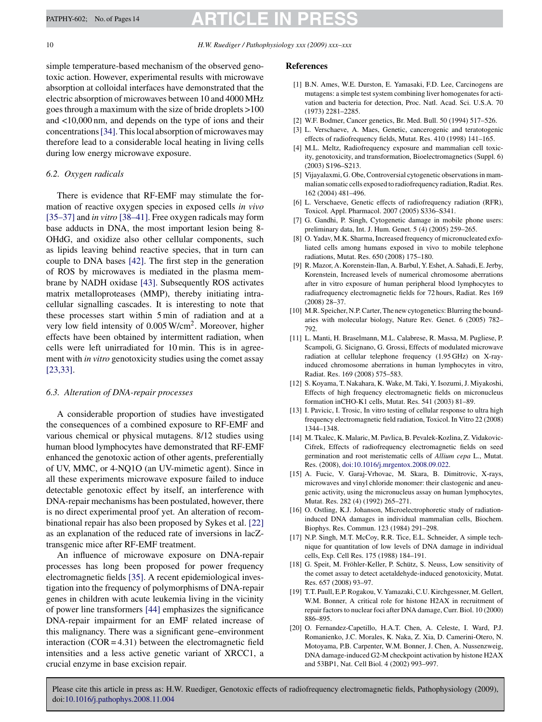# <span id="page-9-0"></span>PATPHY-602; No. of Pages 14 **ARTICLE IN**

10 *H.W. Ruediger / Pathophysiology xxx (2009) xxx–xxx*

simple temperature-based mechanism of the observed genotoxic action. However, experimental results with microwave absorption at colloidal interfaces have demonstrated that the electric absorption of microwaves between 10 and 4000 MHz goes through a maximum with the size of bride droplets >100 and <10,000 nm, and depends on the type of ions and their concentrations[\[34\]. T](#page-10-0)his local absorption of microwaves may therefore lead to a considerable local heating in living cells during low energy microwave exposure.

#### *6.2. Oxygen radicals*

There is evidence that RF-EMF may stimulate the formation of reactive oxygen species in exposed cells *in vivo* [\[35–37\]](#page-10-0) and *in vitro* [\[38–41\]. F](#page-10-0)ree oxygen radicals may form base adducts in DNA, the most important lesion being 8- OHdG, and oxidize also other cellular components, such as lipids leaving behind reactive species, that in turn can couple to DNA bases [\[42\].](#page-10-0) The first step in the generation of ROS by microwaves is mediated in the plasma membrane by NADH oxidase [\[43\].](#page-10-0) Subsequently ROS activates matrix metalloproteases (MMP), thereby initiating intracellular signalling cascades. It is interesting to note that these processes start within 5 min of radiation and at a very low field intensity of 0.005 W/cm2. Moreover, higher effects have been obtained by intermittent radiation, when cells were left unirradiated for 10 min. This is in agreement with *in vitro* genotoxicity studies using the comet assay [\[23,33\].](#page-10-0)

### *6.3. Alteration of DNA-repair processes*

A considerable proportion of studies have investigated the consequences of a combined exposure to RF-EMF and various chemical or physical mutagens. 8/12 studies using human blood lymphocytes have demonstrated that RF-EMF enhanced the genotoxic action of other agents, preferentially of UV, MMC, or 4-NQ1O (an UV-mimetic agent). Since in all these experiments microwave exposure failed to induce detectable genotoxic effect by itself, an interference with DNA-repair mechanisms has been postulated, however, there is no direct experimental proof yet. An alteration of recombinational repair has also been proposed by Sykes et al. [\[22\]](#page-10-0) as an explanation of the reduced rate of inversions in lacZtransgenic mice after RF-EMF treatment.

An influence of microwave exposure on DNA-repair processes has long been proposed for power frequency electromagnetic fields [\[35\]. A](#page-10-0) recent epidemiological investigation into the frequency of polymorphisms of DNA-repair genes in children with acute leukemia living in the vicinity of power line transformers [\[44\]](#page-10-0) emphasizes the significance DNA-repair impairment for an EMF related increase of this malignancy. There was a significant gene–environment interaction  $(COR = 4.31)$  between the electromagnetic field intensities and a less active genetic variant of XRCC1, a crucial enzyme in base excision repair.

#### **References**

- [1] B.N. Ames, W.E. Durston, E. Yamasaki, F.D. Lee, Carcinogens are mutagens: a simple test system combining liver homogenates for activation and bacteria for detection, Proc. Natl. Acad. Sci. U.S.A. 70 (1973) 2281–2285.
- [2] W.F. Bodmer, Cancer genetics, Br. Med. Bull. 50 (1994) 517–526.
- [3] L. Verschaeve, A. Maes, Genetic, cancerogenic and teratotogenic effects of radiofrequency fields, Mutat. Res. 410 (1998) 141–165.
- [4] M.L. Meltz, Radiofrequency exposure and mammalian cell toxicity, genotoxicity, and transformation, Bioelectromagnetics (Suppl. 6) (2003) S196–S213.
- [5] Vijayalaxmi, G. Obe, Controversial cytogenetic observations in mammalian somatic cells exposed to radiofrequency radiation, Radiat. Res. 162 (2004) 481–496.
- [6] L. Verschaeve, Genetic effects of radiofrequency radiation (RFR), Toxicol. Appl. Pharmacol. 2007 (2005) S336–S341.
- [7] G. Gandhi, P. Singh, Cytogenetic damage in mobile phone users: preliminary data, Int. J. Hum. Genet. 5 (4) (2005) 259–265.
- [8] O. Yaday, M.K. Sharma, Increased frequency of micronucleated exfoliated cells among humans exposed in vivo to mobile telephone radiations, Mutat. Res. 650 (2008) 175–180.
- [9] R. Mazor, A. Korenstein-Ilan, A. Barbul, Y. Eshet, A. Sahadi, E. Jerby, Korenstein, Increased levels of numerical chromosome aberrations after in vitro exposure of human peripheral blood lymphocytes to radiafrequency electromagnetic fields for 72 hours, Radiat. Res 169 (2008) 28–37.
- [10] M.R. Speicher, N.P. Carter, The new cytogenetics: Blurring the boundaries with molecular biology, Nature Rev. Genet. 6 (2005) 782– 792.
- [11] L. Manti, H. Braselmann, M.L. Calabrese, R. Massa, M. Pugliese, P. Scampoli, G. Sicignano, G. Grossi, Effects of modulated microwave radiation at cellular telephone frequency (1.95 GHz) on X-rayinduced chromosome aberrations in human lymphocytes in vitro, Radiat. Res. 169 (2008) 575–583.
- [12] S. Koyama, T. Nakahara, K. Wake, M. Taki, Y. Isozumi, J. Miyakoshi, Effects of high frequency electromagnetic fields on micronucleus formation inCHO-K1 cells, Mutat. Res. 541 (2003) 81–89.
- [13] I. Pavicic, I. Trosic, In vitro testing of cellular response to ultra high frequency electromagnetic field radiation, Toxicol. In Vitro 22 (2008) 1344–1348.
- [14] M. Tkalec, K. Malaric, M. Pavlica, B. Pevalek-Kozlina, Z. Vidakovic-Cifrek, Effects of radiofrequency electromagnetic fields on seed germination and root meristematic cells of *Allium cepa* L., Mutat. Res. (2008), [doi:10.1016/j.mrgentox.2008.09.022.](http://dx.doi.org/10.1016/j.mrgentox.2008.09.022)
- [15] A. Fucic, V. Garaj-Vrhovac, M. Skara, B. Dimitrovic, X-rays, microwaves and vinyl chloride monomer: their clastogenic and aneugenic activity, using the micronucleus assay on human lymphocytes, Mutat. Res. 282 (4) (1992) 265–271.
- [16] O. Ostling, K.J. Johanson, Microelectrophoretic study of radiationinduced DNA damages in individual mammalian cells, Biochem. Biophys. Res. Commun. 123 (1984) 291–298.
- [17] N.P. Singh, M.T. McCoy, R.R. Tice, E.L. Schneider, A simple technique for quantitation of low levels of DNA damage in individual cells, Exp. Cell Res. 175 (1988) 184–191.
- [18] G. Speit, M. Fröhler-Keller, P. Schütz, S. Neuss, Low sensitivity of the comet assay to detect acetaldehyde-induced genotoxicity, Mutat. Res. 657 (2008) 93–97.
- [19] T.T. Paull, E.P. Rogakou, V. Yamazaki, C.U. Kirchgessner, M. Gellert, W.M. Bonner, A critical role for histone H2AX in recruitment of repair factors to nuclear foci after DNA damage, Curr. Biol. 10 (2000) 886–895.
- [20] O. Fernandez-Capetillo, H.A.T. Chen, A. Celeste, I. Ward, P.J. Romanienko, J.C. Morales, K. Naka, Z. Xia, D. Camerini-Otero, N. Motoyama, P.B. Carpenter, W.M. Bonner, J. Chen, A. Nussenzweig, DNA damage-induced G2-M checkpoint activation by histone H2AX and 53BP1, Nat. Cell Biol. 4 (2002) 993–997.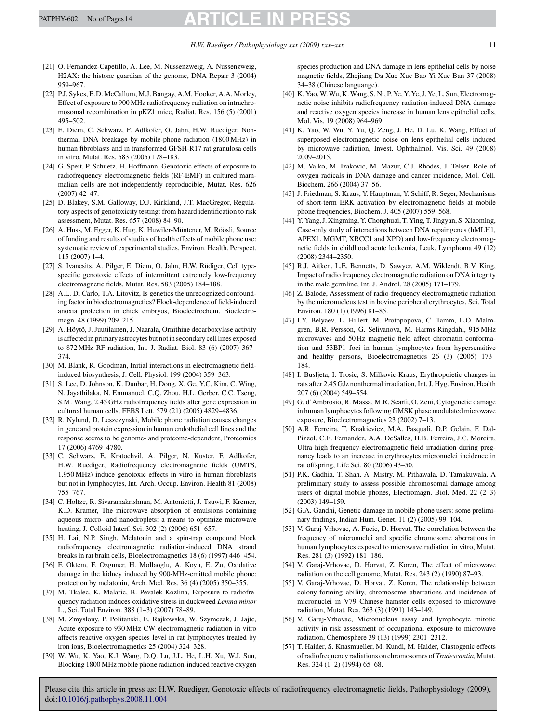- <span id="page-10-0"></span>[21] O. Fernandez-Capetillo, A. Lee, M. Nussenzweig, A. Nussenzweig, H2AX: the histone guardian of the genome, DNA Repair 3 (2004) 959–967.
- [22] P.J. Sykes, B.D. McCallum, M.J. Bangay, A.M. Hooker, A.A. Morley, Effect of exposure to 900 MHz radiofrequency radiation on intrachromosomal recombination in pKZ1 mice, Radiat. Res. 156 (5) (2001) 495–502.
- [23] E. Diem, C. Schwarz, F. Adlkofer, O. Jahn, H.W. Ruediger, Nonthermal DNA breakage by mobile-phone radiation (1800 MHz) in human fibroblasts and in transformed GFSH-R17 rat granulosa cells in vitro, Mutat. Res. 583 (2005) 178–183.
- [24] G. Speit, P. Schuetz, H. Hoffmann, Genotoxic effects of exposure to radiofrequency electromagnetic fields (RF-EMF) in cultured mammalian cells are not independently reproducible, Mutat. Res. 626 (2007) 42–47.
- [25] D. Blakey, S.M. Galloway, D.J. Kirkland, J.T. MacGregor, Regulatory aspects of genotoxicity testing: from hazard identification to risk assessment, Mutat. Res. 657 (2008) 84–90.
- [26] A. Huss, M. Egger, K. Hug, K. Huwiler-Müntener, M. Röösli, Source of funding and results of studies of health effects of mobile phone use: systematic review of experimental studies, Environ. Health. Perspect. 115 (2007) 1–4.
- [27] S. Ivancsits, A. Pilger, E. Diem, O. Jahn, H.W. Rüdiger, Cell typespecific genotoxic effects of intermittent extremely low-frequency electromagnetic fields, Mutat. Res. 583 (2005) 184–188.
- [28] A.L. Di Carlo, T.A. Litovitz, Is genetics the unrecognized confounding factor in bioelectromagnetics? Flock-dependence of field-induced anoxia protection in chick embryos, Bioelectrochem. Bioelectromagn. 48 (1999) 209–215.
- [29] A. Höytö, J. Juutilainen, J. Naarala, Ornithine decarboxylase activity is affected in primary astrocytes but not in secondary cell lines exposed to 872 MHz RF radiation, Int. J. Radiat. Biol. 83 (6) (2007) 367– 374.
- [30] M. Blank, R. Goodman, Initial interactions in electromagnetic fieldinduced biosynthesis, J. Cell. Physiol. 199 (2004) 359–363.
- [31] S. Lee, D. Johnson, K. Dunbar, H. Dong, X. Ge, Y.C. Kim, C. Wing, N. Jayathilaka, N. Emmanuel, C.Q. Zhou, H.L. Gerber, C.C. Tseng, S.M. Wang, 2.45 GHz radiofrequency fields alter gene expression in cultured human cells, FEBS Lett. 579 (21) (2005) 4829–4836.
- [32] R. Nylund, D. Leszczynski, Mobile phone radiation causes changes in gene and protein expression in human endothelial cell lines and the response seems to be genome- and proteome-dependent, Proteomics 17 (2006) 4769–4780.
- [33] C. Schwarz, E. Kratochvil, A. Pilger, N. Kuster, F. Adlkofer, H.W. Ruediger, Radiofrequency electromagnetic fields (UMTS, 1,950 MHz) induce genotoxic effects in vitro in human fibroblasts but not in lymphocytes, Int. Arch. Occup. Environ. Health 81 (2008) 755–767.
- [34] C. Holtze, R. Sivaramakrishnan, M. Antonietti, J. Tsuwi, F. Kremer, K.D. Kramer, The microwave absorption of emulsions containing aqueous micro- and nanodroplets: a means to optimize microwave heating, J. Colloid Interf. Sci. 302 (2) (2006) 651–657.
- [35] H. Lai, N.P. Singh, Melatonin and a spin-trap compound block radiofrequency electromagnetic radiation-induced DNA strand breaks in rat brain cells, Bioelectromagnetics 18 (6) (1997) 446–454.
- [36] F. Oktem, F. Ozguner, H. Mollaoglu, A. Koyu, E. Zu, Oxidative damage in the kidney induced by 900-MHz-emitted mobile phone: protection by melatonin, Arch. Med. Res. 36 (4) (2005) 350–355.
- [37] M. Tkalec, K. Malaric, B. Pevalek-Kozlina, Exposure to radiofrequency radiation induces oxidative stress in duckweed *Lemna minor* L., Sci. Total Environ. 388 (1–3) (2007) 78–89.
- [38] M. Zmyslony, P. Politanski, E. Rajkowska, W. Szymczak, J. Jajte, Acute exposure to 930 MHz CW electromagnetic radiation in vitro affects reactive oxygen species level in rat lymphocytes treated by iron ions, Bioelectromagnetics 25 (2004) 324–328.
- [39] W. Wu, K. Yao, K.J. Wang, D.Q. Lu, J.L. He, L.H. Xu, W.J. Sun, Blocking 1800 MHz mobile phone radiation-induced reactive oxygen

species production and DNA damage in lens epithelial cells by noise magnetic fields, Zhejiang Da Xue Xue Bao Yi Xue Ban 37 (2008) 34–38 (Chinese languange).

- [40] K. Yao, W. Wu, K. Wang, S. Ni, P. Ye, Y. Ye, J. Ye, L. Sun, Electromagnetic noise inhibits radiofrequency radiation-induced DNA damage and reactive oxygen species increase in human lens epithelial cells, Mol. Vis. 19 (2008) 964–969.
- [41] K. Yao, W. Wu, Y. Yu, O. Zeng, J. He, D. Lu, K. Wang, Effect of superposed electromagnetic noise on lens epithelial cells induced by microwave radiation, Invest. Ophthalmol. Vis. Sci. 49 (2008) 2009–2015.
- [42] M. Valko, M. Izakovic, M. Mazur, C.J. Rhodes, J. Telser, Role of oxygen radicals in DNA damage and cancer incidence, Mol. Cell. Biochem. 266 (2004) 37–56.
- [43] J. Friedman, S. Kraus, Y. Hauptman, Y. Schiff, R. Seger, Mechanisms of short-term ERK activation by electromagnetic fields at mobile phone frequencies, Biochem. J. 405 (2007) 559–568.
- [44] Y. Yang, J. Xingming, Y. Chonghuai, T. Ying, T. Jingyan, S. Xiaoming, Case-only study of interactions between DNA repair genes (hMLH1, APEX1, MGMT, XRCC1 and XPD) and low-frequency electromagnetic fields in childhood acute leukemia, Leuk. Lymphoma 49 (12) (2008) 2344–2350.
- [45] R.J. Aitken, L.E. Bennetts, D. Sawyer, A.M. Wiklendt, B.V. King, Impact of radio frequency electromagnetic radiation on DNA integrity in the male germline, Int. J. Androl. 28 (2005) 171–179.
- [46] Z. Balode, Assessment of radio-frequency electromagnetic radiation by the micronucleus test in bovine peripheral erythrocytes, Sci. Total Environ. 180 (1) (1996) 81–85.
- [47] I.Y. Belyaev, L. Hillert, M. Protopopova, C. Tamm, L.O. Malmgren, B.R. Persson, G. Selivanova, M. Harms-Ringdahl, 915 MHz microwaves and 50 Hz magnetic field affect chromatin conformation and 53BP1 foci in human lymphocytes from hypersensitive and healthy persons, Bioelectromagnetics 26 (3) (2005) 173– 184.
- [48] I. Busljeta, I. Trosic, S. Milkovic-Kraus, Erythropoietic changes in rats after 2.45 GJz nonthermal irradiation, Int. J. Hyg. Environ. Health 207 (6) (2004) 549–554.
- [49] G. d'Ambrosio, R. Massa, M.R. Scarfi, O. Zeni, Cytogenetic damage in human lymphocytes following GMSK phase modulated microwave exposure, Bioelectromagnetics 23 (2002) 7–13.
- [50] A.R. Ferreira, T. Knakievicz, M.A. Pasquali, D.P. Gelain, F. Dal-Pizzol, C.E. Fernandez, A.A. DeSalles, H.B. Ferreira, J.C. Moreira, Ultra high frequency-electromagnetic field irradiation during pregnancy leads to an increase in erythrocytes micronuclei incidence in rat offspring, Life Sci. 80 (2006) 43–50.
- [51] P.K. Gadhia, T. Shah, A. Mistry, M. Pithawala, D. Tamakuwala, A preliminary study to assess possible chromosomal damage among users of digital mobile phones, Electromagn. Biol. Med. 22 (2–3) (2003) 149–159.
- [52] G.A. Gandhi, Genetic damage in mobile phone users: some preliminary findings, Indian Hum. Genet. 11 (2) (2005) 99–104.
- [53] V. Garaj-Vrhovac, A. Fucic, D. Horvat, The correlation between the frequency of micronuclei and specific chromosome aberrations in human lymphocytes exposed to microwave radiation in vitro, Mutat. Res. 281 (3) (1992) 181–186.
- [54] V. Garaj-Vrhovac, D. Horvat, Z. Koren, The effect of microwave radiation on the cell genome, Mutat. Res. 243 (2) (1990) 87–93.
- [55] V. Garaj-Vrhovac, D. Horvat, Z. Koren, The relationship between colony-forming ability, chromosome aberrations and incidence of micronuclei in V79 Chinese hamster cells exposed to microwave radiation, Mutat. Res. 263 (3) (1991) 143–149.
- [56] V. Garaj-Vrhovac, Micronucleus assay and lymphocyte mitotic activity in risk assessment of occupational exposure to microwave radiation, Chemosphere 39 (13) (1999) 2301–2312.
- [57] T. Haider, S. Knasmueller, M. Kundi, M. Haider, Clastogenic effects of radiofrequency radiations on chromosomes of *Tradescantia*, Mutat. Res. 324 (1–2) (1994) 65–68.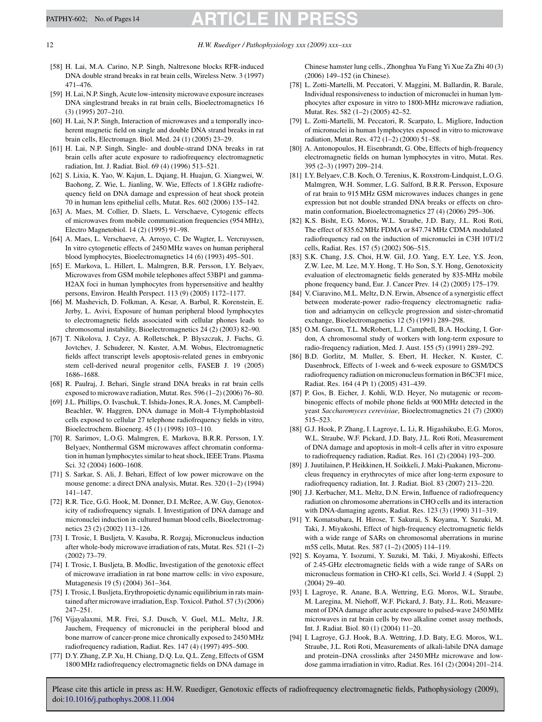# <span id="page-11-0"></span>PATPHY-602; No. of Pages 14 **ARTICLE IN**

- [58] H. Lai, M.A. Carino, N.P. Singh, Naltrexone blocks RFR-induced DNA double strand breaks in rat brain cells, Wireless Netw. 3 (1997) 471–476.
- [59] H. Lai, N.P. Singh, Acute low-intensity microwave exposure increases DNA singlestrand breaks in rat brain cells, Bioelectromagnetics 16 (3) (1995) 207–210.
- [60] H. Lai, N.P. Singh, Interaction of microwaves and a temporally incoherent magnetic field on single and double DNA strand breaks in rat brain cells, Electromagn. Biol. Med. 24 (1) (2005) 23–29.
- [61] H. Lai, N.P. Singh, Single- and double-strand DNA breaks in rat brain cells after acute exposure to radiofrequency electromagnetic radiation, Int. J. Radiat. Biol. 69 (4) (1996) 513–521.
- [62] S. Lixia, K. Yao, W. Kajun, L. Dqiang, H. Huajun, G. Xiangwei, W. Baohong, Z. Wie, L. Jianling, W. Wie, Effects of 1.8 GHz radiofrequency field on DNA damage and expression of heat shock protein 70 in human lens epithelial cells, Mutat. Res. 602 (2006) 135–142.
- [63] A. Maes, M. Collier, D. Slaets, L. Verschaeve, Cytogenic effects of microwaves from mobile communication frequencies (954 MHz), Electro Magnetobiol. 14 (2) (1995) 91–98.
- [64] A. Maes, L. Verschaeve, A. Arroyo, C. De Wagter, L. Vercruyssen, In vitro cytogenetic effects of 2450 MHz waves on human peripheral blood lymphocytes, Bioelectromagnetics 14 (6) (1993) 495–501.
- [65] E. Markova, L. Hillert, L. Malmgren, B.R. Persson, I.Y. Belyaev, Microwaves from GSM mobile telephones affect 53BP1 and gamma-H2AX foci in human lymphocytes from hypersensitive and healthy persons, Environ. Health Perspect. 113 (9) (2005) 1172–1177.
- [66] M. Mashevich, D. Folkman, A. Kesar, A. Barbul, R. Korenstein, E. Jerby, L. Avivi, Exposure of human peripheral blood lymphocytes to electromagnetic fields associated with cellular phones leads to chromosomal instability, Bioelectromagnetics 24 (2) (2003) 82–90.
- [67] T. Nikolova, J. Czyz, A. Rolletschek, P. Blyszczuk, J. Fuchs, G. Jovtchev, J. Schuderer, N. Kuster, A.M. Wobus, Electromagnetic fields affect transcript levels apoptosis-related genes in embryonic stem cell-derived neural progenitor cells, FASEB J. 19 (2005) 1686–1688.
- [68] R. Paulraj, J. Behari, Single strand DNA breaks in rat brain cells exposed to microwave radiation, Mutat. Res. 596 (1–2) (2006) 76–80.
- [69] J.L. Phillips, O. Ivaschuk, T. Ishida-Jones, R.A. Jones, M. Campbell-Beachler, W. Haggren, DNA damage in Molt-4 T-lymphoblastoid cells exposed to cellular 27 telephone radiofrequency fields in vitro, Bioelectrochem. Bioenerg. 45 (1) (1998) 103–110.
- [70] R. Sarimov, L.O.G. Malmgren, E. Markova, B.R.R. Persson, I.Y. Belyaev, Nonthermal GSM microwaves affect chromatin conformation in human lymphocytes similar to heat shock, IEEE Trans. Plasma Sci. 32 (2004) 1600–1608.
- [71] S. Sarkar, S. Ali, J. Behari, Effect of low power microwave on the mouse genome: a direct DNA analysis, Mutat. Res. 320 (1–2) (1994) 141–147.
- [72] R.R. Tice, G.G. Hook, M. Donner, D.I. McRee, A.W. Guy, Genotoxicity of radiofrequency signals. I. Investigation of DNA damage and micronuclei induction in cultured human blood cells, Bioelectromagnetics 23 (2) (2002) 113–126.
- [73] I. Trosic, I. Busljeta, V. Kasuba, R. Rozgaj, Micronucleus induction after whole-body microwave irradiation of rats, Mutat. Res. 521 (1–2) (2002) 73–79.
- [74] I. Trosic, I. Busljeta, B. Modlic, Investigation of the genotoxic effect of microwave irradiation in rat bone marrow cells: in vivo exposure, Mutagenesis 19 (5) (2004) 361–364.
- [75] I. Trosic, I. Busljeta, Erythropoietic dynamic equilibrium in rats maintained after microwave irradiation, Exp. Toxicol. Pathol. 57 (3) (2006) 247–251.
- [76] Vijayalaxmi, M.R. Frei, S.J. Dusch, V. Guel, M.L. Meltz, J.R. Jauchem, Frequency of micronuclei in the peripheral blood and bone marrow of cancer-prone mice chronically exposed to 2450 MHz radiofrequency radiation, Radiat. Res. 147 (4) (1997) 495–500.
- [77] D.Y. Zhang, Z.P. Xu, H. Chiang, D.Q. Lu, Q.L. Zeng, Effects of GSM 1800 MHz radiofrequency electromagnetic fields on DNA damage in

Chinese hamster lung cells., Zhonghua Yu Fang Yi Xue Za Zhi 40 (3) (2006) 149–152 (in Chinese).

- [78] L. Zotti-Martelli, M. Peccatori, V. Maggini, M. Ballardin, R. Barale, Individual responsiveness to induction of micronuclei in human lymphocytes after exposure in vitro to 1800-MHz microwave radiation, Mutat. Res. 582 (1–2) (2005) 42–52.
- [79] L. Zotti-Martelli, M. Peccatori, R. Scarpato, L. Migliore, Induction of micronuclei in human lymphocytes exposed in vitro to microwave radiation, Mutat. Res. 472 (1–2) (2000) 51–58.
- [80] A. Antonopoulos, H. Eisenbrandt, G. Obe, Effects of high-frequency electromagnetic fields on human lymphocytes in vitro, Mutat. Res. 395 (2–3) (1997) 209–214.
- [81] I.Y. Belyaev, C.B. Koch, O. Terenius, K. Roxstrom-Lindquist, L.O.G. Malmgren, W.H. Sommer, L.G. Salford, B.R.R. Persson, Exposure of rat brain to 915 MHz GSM microwaves induces changes in gene expression but not double stranded DNA breaks or effects on chromatin conformation, Bioelectromagnetics 27 (4) (2006) 295–306.
- [82] K.S. Bisht, E.G. Moros, W.L. Straube, J.D. Baty, J.L. Roti Roti, The effect of 835.62 MHz FDMA or 847.74 MHz CDMA modulated radiofrequency rad on the induction of micronuclei in C3H 10T1/2 cells, Radiat. Res. 157 (5) (2002) 506–515.
- [83] S.K. Chang, J.S. Choi, H.W. Gil, J.O. Yang, E.Y. Lee, Y.S. Jeon, Z.W. Lee, M. Lee, M.Y. Hong, T. Ho Son, S.Y. Hong, Genotoxicity evaluation of electromagnetic fields generated by 835-MHz mobile phone frequency band, Eur. J. Cancer Prev. 14 (2) (2005) 175–179.
- [84] V. Ciaravino, M.L. Meltz, D.N. Erwin, Absence of a synergistic effect between moderate-power radio-frequency electromagnetic radiation and adriamycin on cellcycle progression and sister-chromatid exchange, Bioelectromagnetics 12 (5) (1991) 289–298.
- [85] O.M. Garson, T.L. McRobert, L.J. Campbell, B.A. Hocking, I. Gordon, A chromosomal study of workers with long-term exposure to radio-frequency radiation, Med. J. Aust. 155 (5) (1991) 289–292.
- [86] B.D. Gorlitz, M. Muller, S. Ebert, H. Hecker, N. Kuster, C. Dasenbrock, Effects of 1-week and 6-week exposure to GSM/DCS radiofrequency radiation on micronucleus formation in B6C3F1 mice, Radiat. Res. 164 (4 Pt 1) (2005) 431–439.
- [87] P. Gos, B. Eicher, J. Kohli, W.D. Heyer, No mutagenic or recombinogenic effects of mobile phone fields at 900 MHz detected in the yeast *Saccharomyces cerevisiae*, Bioelectromagnetics 21 (7) (2000) 515–523.
- [88] G.J. Hook, P. Zhang, I. Lagroye, L. Li, R. Higashikubo, E.G. Moros, W.L. Straube, W.F. Pickard, J.D. Baty, J.L. Roti Roti, Measurement of DNA damage and apoptosis in molt-4 cells after in vitro exposure to radiofrequency radiation, Radiat. Res. 161 (2) (2004) 193–200.
- [89] J. Juutilainen, P. Heikkinen, H. Soikkeli, J. Maki-Paakanen, Micronucleus frequency in erythrocytes of mice after long-term exposure to radiofrequency radiation, Int. J. Radiat. Biol. 83 (2007) 213–220.
- [90] J.J. Kerbacher, M.L. Meltz, D.N. Erwin, Influence of radiofrequency radiation on chromosome aberrations in CHO cells and its interaction with DNA-damaging agents, Radiat. Res. 123 (3) (1990) 311–319.
- [91] Y. Komatsubara, H. Hirose, T. Sakurai, S. Koyama, Y. Suzuki, M. Taki, J. Miyakoshi, Effect of high-frequency electromagnetic fields with a wide range of SARs on chromosomal aberrations in murine m5S cells, Mutat. Res. 587 (1–2) (2005) 114–119.
- [92] S. Koyama, Y. Isozumi, Y. Suzuki, M. Taki, J. Miyakoshi, Effects of 2.45-GHz electromagnetic fields with a wide range of SARs on micronucleus formation in CHO-K1 cells, Sci. World J. 4 (Suppl. 2) (2004) 29–40.
- [93] I. Lagroye, R. Anane, B.A. Wettring, E.G. Moros, W.L. Straube, M. Laregina, M. Niehoff, W.F. Pickard, J. Baty, J.L. Roti, Measurement of DNA damage after acute exposure to pulsed-wave 2450 MHz microwaves in rat brain cells by two alkaline comet assay methods, Int. J. Radiat. Biol. 80 (1) (2004) 11–20.
- [94] I. Lagroye, G.J. Hook, B.A. Wettring, J.D. Baty, E.G. Moros, W.L. Straube, J.L. Roti Roti, Measurements of alkali-labile DNA damage and protein–DNA crosslinks after 2450 MHz microwave and lowdose gamma irradiation in vitro, Radiat. Res. 161 (2) (2004) 201–214.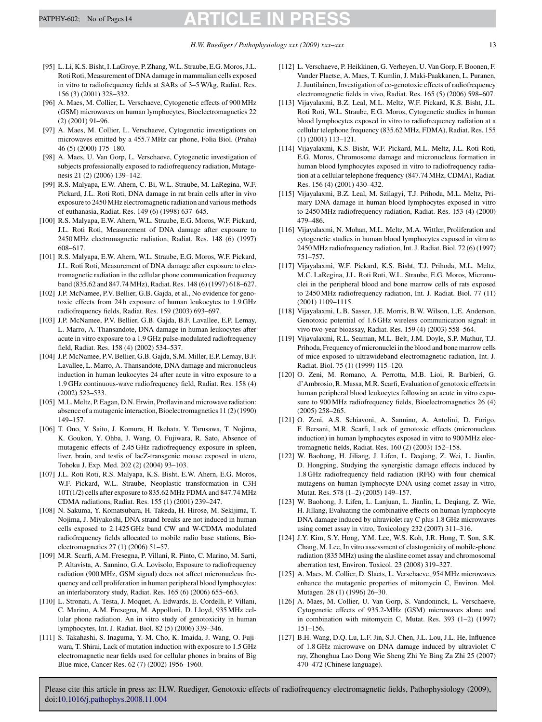- <span id="page-12-0"></span>[95] L. Li, K.S. Bisht, I. LaGroye, P. Zhang, W.L. Straube, E.G. Moros, J.L. Roti Roti, Measurement of DNA damage in mammalian cells exposed in vitro to radiofrequency fields at SARs of 3–5 W/kg, Radiat. Res. 156 (3) (2001) 328–332.
- [96] A. Maes, M. Collier, L. Verschaeve, Cytogenetic effects of 900 MHz (GSM) microwaves on human lymphocytes, Bioelectromagnetics 22 (2) (2001) 91–96.
- [97] A. Maes, M. Collier, L. Verschaeve, Cytogenetic investigations on microwaves emitted by a 455.7 MHz car phone, Folia Biol. (Praha) 46 (5) (2000) 175–180.
- [98] A. Maes, U. Van Gorp, L. Verschaeve, Cytogenetic investigation of subjects professionally exposed to radiofrequency radiation, Mutagenesis 21 (2) (2006) 139–142.
- [99] R.S. Malyapa, E.W. Ahern, C. Bi, W.L. Straube, M. LaRegina, W.F. Pickard, J.L. Roti Roti, DNA damage in rat brain cells after in vivo exposure to 2450 MHz electromagnetic radiation and various methods of euthanasia, Radiat. Res. 149 (6) (1998) 637–645.
- [100] R.S. Malyapa, E.W. Ahern, W.L. Straube, E.G. Moros, W.F. Pickard, J.L. Roti Roti, Measurement of DNA damage after exposure to 2450 MHz electromagnetic radiation, Radiat. Res. 148 (6) (1997) 608–617.
- [101] R.S. Malyapa, E.W. Ahern, W.L. Straube, E.G. Moros, W.F. Pickard, J.L. Roti Roti, Measurement of DNA damage after exposure to electromagnetic radiation in the cellular phone communication frequency band (835.62 and 847.74 MHz), Radiat. Res. 148 (6) (1997) 618–627.
- [102] J.P. McNamee, P.V. Bellier, G.B. Gajda, et al., No evidence for genotoxic effects from 24 h exposure of human leukocytes to 1.9 GHz radiofrequency fields, Radiat. Res. 159 (2003) 693–697.
- [103] J.P. McNamee, P.V. Bellier, G.B. Gajda, B.F. Lavallee, E.P. Lemay, L. Marro, A. Thansandote, DNA damage in human leukocytes after acute in vitro exposure to a 1.9 GHz pulse-modulated radiofrequency field, Radiat. Res. 158 (4) (2002) 534–537.
- [104] J.P. McNamee, P.V. Bellier, G.B. Gajda, S.M. Miller, E.P. Lemay, B.F. Lavallee, L. Marro, A. Thansandote, DNA damage and micronucleus induction in human leukocytes 24 after acute in vitro exposure to a 1.9 GHz continuous-wave radiofrequency field, Radiat. Res. 158 (4) (2002) 523–533.
- [105] M.L. Meltz, P. Eagan, D.N. Erwin, Proflavin and microwave radiation: absence of a mutagenic interaction, Bioelectromagnetics 11 (2) (1990) 149–157.
- [106] T. Ono, Y. Saito, J. Komura, H. Ikehata, Y. Tarusawa, T. Nojima, K. Goukon, Y. Ohba, J. Wang, O. Fujiwara, R. Sato, Absence of mutagenic effects of 2.45 GHz radiofrequency exposure in spleen, liver, brain, and testis of lacZ-transgenic mouse exposed in utero, Tohoku J. Exp. Med. 202 (2) (2004) 93–103.
- [107] J.L. Roti Roti, R.S. Malyapa, K.S. Bisht, E.W. Ahern, E.G. Moros, W.F. Pickard, W.L. Straube, Neoplastic transformation in C3H 10T(1/2) cells after exposure to 835.62 MHz FDMA and 847.74 MHz CDMA radiations, Radiat. Res. 155 (1) (2001) 239–247.
- [108] N. Sakuma, Y. Komatsubara, H. Takeda, H. Hirose, M. Sekijima, T. Nojima, J. Miyakoshi, DNA strand breaks are not induced in human cells exposed to 2.1425 GHz band CW and W-CDMA modulated radiofrequency fields allocated to mobile radio base stations, Bioelectromagnetics 27 (1) (2006) 51–57.
- [109] M.R. Scarfi, A.M. Fresegna, P. Villani, R. Pinto, C. Marino, M. Sarti, P. Altavista, A. Sannino, G.A. Lovisolo, Exposure to radiofrequency radiation (900 MHz, GSM signal) does not affect micronucleus frequency and cell proliferation in human peripheral blood lymphocytes: an interlaboratory study, Radiat. Res. 165 (6) (2006) 655–663.
- [110] L. Stronati, A. Testa, J. Moquet, A. Edwards, E. Cordelli, P. Villani, C. Marino, A.M. Fresegna, M. Appolloni, D. Lloyd, 935 MHz cellular phone radiation. An in vitro study of genotoxicity in human lymphocytes, Int. J. Radiat. Biol. 82 (5) (2006) 339–346.
- [111] S. Takahashi, S. Inaguma, Y.-M. Cho, K. Imaida, J. Wang, O. Fujiwara, T. Shirai, Lack of mutation induction with exposure to 1.5 GHz electromagnetic near fields used for cellular phones in brains of Big Blue mice, Cancer Res. 62 (7) (2002) 1956–1960.
- [112] L. Verschaeve, P. Heikkinen, G. Verheyen, U. Van Gorp, F. Boonen, F. Vander Plaetse, A. Maes, T. Kumlin, J. Maki-Paakkanen, L. Puranen, J. Juutilainen, Investigation of co-genotoxic effects of radiofrequency electromagnetic fields in vivo, Radiat. Res. 165 (5) (2006) 598–607.
- [113] Vijayalaxmi, B.Z. Leal, M.L. Meltz, W.F. Pickard, K.S. Bisht, J.L. Roti Roti, W.L. Straube, E.G. Moros, Cytogenetic studies in human blood lymphocytes exposed in vitro to radiofrequency radiation at a cellular telephone frequency (835.62 MHz, FDMA), Radiat. Res. 155 (1) (2001) 113–121.
- [114] Vijayalaxmi, K.S. Bisht, W.F. Pickard, M.L. Meltz, J.L. Roti Roti, E.G. Moros, Chromosome damage and micronucleus formation in human blood lymphocytes exposed in vitro to radiofrequency radiation at a cellular telephone frequency (847.74 MHz, CDMA), Radiat. Res. 156 (4) (2001) 430–432.
- [115] Vijayalaxmi, B.Z. Leal, M. Szilagyi, T.J. Prihoda, M.L. Meltz, Primary DNA damage in human blood lymphocytes exposed in vitro to 2450 MHz radiofrequency radiation, Radiat. Res. 153 (4) (2000) 479–486.
- [116] Vijayalaxmi, N. Mohan, M.L. Meltz, M.A. Wittler, Proliferation and cytogenetic studies in human blood lymphocytes exposed in vitro to 2450 MHz radiofrequency radiation, Int. J. Radiat. Biol. 72 (6) (1997) 751–757.
- [117] Vijayalaxmi, W.F. Pickard, K.S. Bisht, T.J. Prihoda, M.L. Meltz, M.C. LaRegina, J.L. Roti Roti, W.L. Straube, E.G. Moros, Micronuclei in the peripheral blood and bone marrow cells of rats exposed to 2450 MHz radiofrequency radiation, Int. J. Radiat. Biol. 77 (11) (2001) 1109–1115.
- [118] Vijayalaxmi, L.B. Sasser, J.E. Morris, B.W. Wilson, L.E. Anderson, Genotoxic potential of 1.6 GHz wireless communication signal: in vivo two-year bioassay, Radiat. Res. 159 (4) (2003) 558–564.
- [119] Vijayalaxmi, R.L. Seaman, M.L. Belt, J.M. Doyle, S.P. Mathur, T.J. Prihoda, Frequency of micronuclei in the blood and bone marrow cells of mice exposed to ultrawideband electromagnetic radiation, Int. J. Radiat. Biol. 75 (1) (1999) 115–120.
- [120] O. Zeni, M. Romano, A. Perrotta, M.B. Lioi, R. Barbieri, G. d'Ambrosio, R. Massa, M.R. Scarfi, Evaluation of genotoxic effects in human peripheral blood leukocytes following an acute in vitro exposure to 900 MHz radiofrequency fields, Bioelectromagnetics 26 (4) (2005) 258–265.
- [121] O. Zeni, A.S. Schiavoni, A. Sannino, A. Antolini, D. Forigo, F. Bersani, M.R. Scarfi, Lack of genotoxic effects (micronucleus induction) in human lymphocytes exposed in vitro to 900 MHz electromagnetic fields, Radiat. Res. 160 (2) (2003) 152–158.
- [122] W. Baohong, H. Jiliang, J. Lifen, L. Deqiang, Z. Wei, L. Jianlin, D. Hongping, Studying the synergistic damage effects induced by 1.8 GHz radiofrequency field radiation (RFR) with four chemical mutagens on human lymphocyte DNA using comet assay in vitro, Mutat. Res. 578 (1–2) (2005) 149–157.
- [123] W. Baohong, J. Lifen, L. Lanjuan, L. Jianlin, L. Deqiang, Z. Wie, H. Jillang, Evaluating the combinative effects on human lymphocyte DNA damage induced by ultraviolet ray C plus 1.8 GHz microwaves using comet assay in vitro, Toxicology 232 (2007) 311–316.
- [124] J.Y. Kim, S.Y. Hong, Y.M. Lee, W.S. Koh, J.R. Hong, T. Son, S.K. Chang, M. Lee, In vitro assessment of clastogenicity of mobile-phone radiation (835 MHz) using the alasline comet assay and chromosomal aberration test, Environ. Toxicol. 23 (2008) 319–327.
- [125] A. Maes, M. Collier, D. Slaets, L. Verschaeve, 954 MHz microwaves enhance the mutagenic properties of mitomycin C, Environ. Mol. Mutagen. 28 (1) (1996) 26–30.
- [126] A. Maes, M. Collier, U. Van Gorp, S. Vandoninck, L. Verschaeve, Cytogenetic effects of 935.2-MHz (GSM) microwaves alone and in combination with mitomycin C, Mutat. Res. 393 (1–2) (1997) 151–156.
- [127] B.H. Wang, D.Q. Lu, L.F. Jin, S.J. Chen, J.L. Lou, J.L. He, Influence of 1.8 GHz microwave on DNA damage induced by ultraviolet C ray, Zhonghua Lao Dong Wie Sheng Zhi Ye Bing Za Zhi 25 (2007) 470–472 (Chinese language).